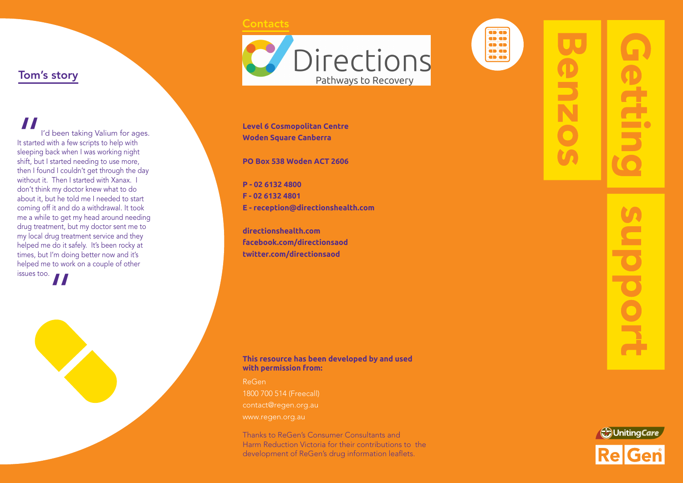### **Contacts**



**Level 6 Cosmopolitan Centre Woden Square Canberra**

**PO Box 538 Woden ACT 2606**

**P - 02 6132 4800 F - 02 6132 4801 E - reception@directionshealth.com**

**directionshealth.com facebook.com/directionsaod twitter.com/directionsaod**



ReGen 1800 700 514 (Freecall) contact@regen.org.au

Thanks to ReGen's Consumer Consultants and Harm Reduction Victoria for their contributions to the development of ReGen's drug information leaflets.

as an **ab ab GD GD** as as ab ab

# bpoo



## Tom's story

" I'd been taking Valium for ages. It started with a few scripts to help with sleeping back when I was working night shift, but I started needing to use more, then I found I couldn't get through the day without it. Then I started with Xanax. I don't think my doctor knew what to do about it, but he told me I needed to start coming off it and do a withdrawal. It took me a while to get my head around needing drug treatment, but my doctor sent me to my local drug treatment service and they helped me do it safely. It's been rocky at times, but I'm doing better now and it's helped me to work on a couple of other  $\overline{\phantom{a}}$  issues too.